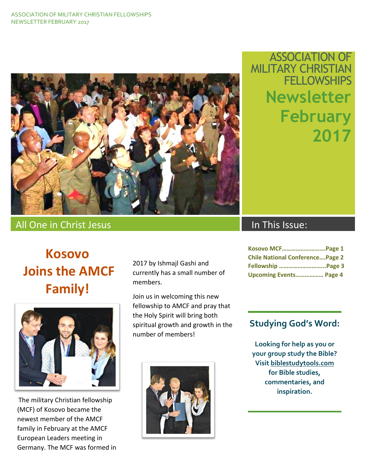

## ASSOCIATION OF MILITARY CHRISTIAN **FELLOWSHIPS Newsletter February 2017**

### All One in Christ Jesus International Christ In This Issue:

# **Kosovo Joins the AMCF**

**Family!**

The military Christian fellowship (MCF) of Kosovo became the newest member of the AMCF family in February at the AMCF European Leaders meeting in Germany. The MCF was formed in 2017 by Ishmajl Gashi and currently has a small number of members.

Join us in welcoming this new fellowship to AMCF and pray that the Holy Spirit will bring both spiritual growth and growth in the number of members!



| Kosovo MCFPage 1                       |  |
|----------------------------------------|--|
| <b>Chile National ConferencePage 2</b> |  |
| Fellowship Page 3                      |  |
| <b>Upcoming Events Page 4</b>          |  |

#### **Studying God's Word:**

**Looking for help as you or your group study the Bible? Visit biblestudytools.com for Bible studies, commentaries, and inspiration.**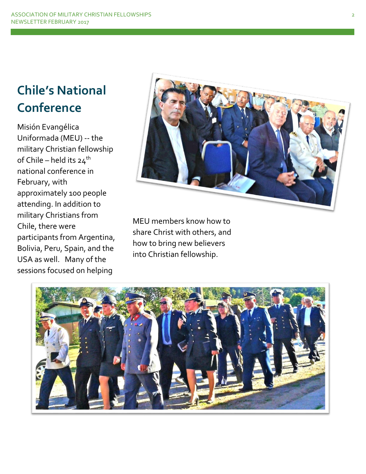# **Chile's National Conference**

Misión Evangélica Uniformada (MEU) -- the military Christian fellowship of Chile – held its  $24^{th}$ national conference in February, with approximately 100 people attending. In addition to military Christians from Chile, there were participants from Argentina, Bolivia, Peru, Spain, and the USA as well. Many of the sessions focused on helping



MEU members know how to share Christ with others, and how to bring new believers into Christian fellowship.

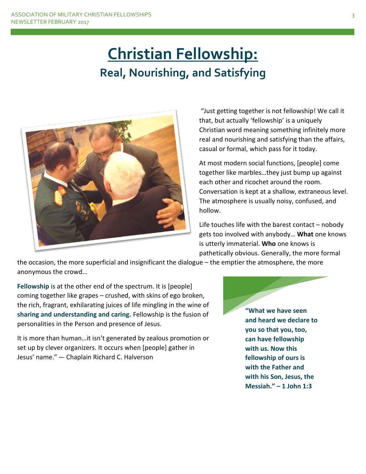# **Christian Fellowship: Real, Nourishing, and Satisfying**



"Just getting together is not fellowship! We call it that, but actually 'fellowship' is a uniquely Christian word meaning something infinitely more real and nourishing and satisfying than the affairs, casual or formal, which pass for it today.

At most modern social functions, [people] come together like marbles…they just bump up against each other and ricochet around the room. Conversation is kept at a shallow, extraneous level. The atmosphere is usually noisy, confused, and hollow.

Life touches life with the barest contact – nobody gets too involved with anybody… **What** one knows is utterly immaterial. **Who** one knows is pathetically obvious. Generally, the more formal

the occasion, the more superficial and insignificant the dialogue – the emptier the atmosphere, the more anonymous the crowd…

**Fellowship** is at the other end of the spectrum. It is [people] coming together like grapes – crushed, with skins of ego broken, the rich, fragrant, exhilarating juices of life mingling in the wine of **sharing and understanding and caring.** Fellowship is the fusion of personalities in the Person and presence of Jesus.

It is more than human…it isn't generated by zealous promotion or set up by clever organizers. It occurs when [people] gather in Jesus' name." –- Chaplain Richard C. Halverson

**"What we have seen and heard we declare to you so that you, too, can have fellowship with us. Now this fellowship of ours is with the Father and with his Son, Jesus, the Messiah." – 1 John 1:3**